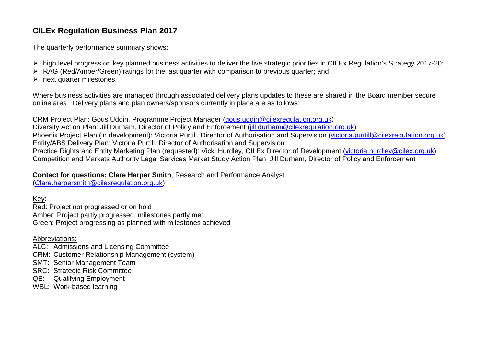## **CILEx Regulation Business Plan 2017**

The quarterly performance summary shows:

- high level progress on key planned business activities to deliver the five strategic priorities in CILEx Regulation's Strategy 2017-20;
- RAG (Red/Amber/Green) ratings for the last quarter with comparison to previous quarter; and
- $\triangleright$  next quarter milestones.

Where business activities are managed through associated delivery plans updates to these are shared in the Board member secure online area. Delivery plans and plan owners/sponsors currently in place are as follows:

CRM Project Plan: Gous Uddin, Programme Project Manager [\(gous.uddin@cilexregulation.org.uk\)](mailto:gous.uddin@cilexregulation.org.uk) Diversity Action Plan: Jill Durham, Director of Policy and Enforcement [\(jill.durham@cilexregulation.org.uk\)](mailto:jill.durham@cilexregulation.org.uk) Phoenix Project Plan (in development): Victoria Purtill, Director of Authorisation and Supervision [\(victoria.purtill@cilexregulation.org.uk\)](mailto:victoria.purtill@cilexregulation.org.uk) Entity/ABS Delivery Plan: Victoria Purtill, Director of Authorisation and Supervision Practice Rights and Entity Marketing Plan (requested): Vicki Hurdley, CILEx Director of Development [\(victoria.hurdley@cilex.org.uk\)](mailto:victoria.hurdley@cilex.org.uk) Competition and Markets Authority Legal Services Market Study Action Plan: Jill Durham, Director of Policy and Enforcement

## **Contact for questions: Clare Harper Smith**, Research and Performance Analyst

[\(Clare.harpersmith@cilexregulation.org.uk\)](mailto:Clare.harpersmith@cilexregulation.org.uk)

Key:

Red: Project not progressed or on hold Amber: Project partly progressed, milestones partly met Green: Project progressing as planned with milestones achieved

Abbreviations:

ALC: Admissions and Licensing Committee

- CRM: Customer Relationship Management (system)
- SMT: Senior Management Team
- SRC: Strategic Risk Committee
- QE: Qualifying Employment
- WBL: Work-based learning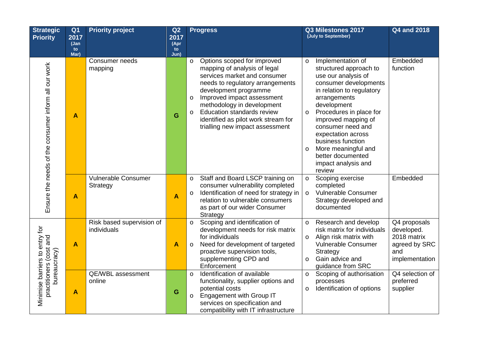| <b>Strategic</b><br><b>Priority</b>                                       | Q <sub>1</sub><br>2017<br>(Jan | <b>Priority project</b>                  | Q2<br>2017<br>(Apr | <b>Progress</b>                                                                                                                                                                                                                                                                                                                                                      |                               | Q3 Milestones 2017<br>(July to September)                                                                                                                                                                                                                                                                                                              | <b>Q4 and 2018</b>                                                                  |
|---------------------------------------------------------------------------|--------------------------------|------------------------------------------|--------------------|----------------------------------------------------------------------------------------------------------------------------------------------------------------------------------------------------------------------------------------------------------------------------------------------------------------------------------------------------------------------|-------------------------------|--------------------------------------------------------------------------------------------------------------------------------------------------------------------------------------------------------------------------------------------------------------------------------------------------------------------------------------------------------|-------------------------------------------------------------------------------------|
|                                                                           | to<br>Mar)                     |                                          | to<br>Jun)         |                                                                                                                                                                                                                                                                                                                                                                      |                               |                                                                                                                                                                                                                                                                                                                                                        |                                                                                     |
| Ensure the needs of the consumer inform all our work                      | A                              | Consumer needs<br>mapping                | G                  | Options scoped for improved<br>$\circ$<br>mapping of analysis of legal<br>services market and consumer<br>needs to regulatory arrangements<br>development programme<br>Improved impact assessment<br>$\circ$<br>methodology in development<br><b>Education standards review</b><br>$\circ$<br>identified as pilot work stream for<br>trialling new impact assessment | $\circ$<br>$\circ$<br>$\circ$ | Implementation of<br>structured approach to<br>use our analysis of<br>consumer developments<br>in relation to regulatory<br>arrangements<br>development<br>Procedures in place for<br>improved mapping of<br>consumer need and<br>expectation across<br>business function<br>More meaningful and<br>better documented<br>impact analysis and<br>review | Embedded<br>function                                                                |
|                                                                           | A                              | Vulnerable Consumer<br>Strategy          | A                  | Staff and Board LSCP training on<br>$\circ$<br>consumer vulnerability completed<br>Identification of need for strategy in<br>$\circ$<br>relation to vulnerable consumers<br>as part of our wider Consumer<br>Strategy                                                                                                                                                | $\circ$<br>$\circ$            | Scoping exercise<br>completed<br>Vulnerable Consumer<br>Strategy developed and<br>documented                                                                                                                                                                                                                                                           | Embedded                                                                            |
| Minimise barriers to entry for<br>practitioners (cost and<br>bureaucracy) | A                              | Risk based supervision of<br>individuals | $\mathsf{A}$       | Scoping and identification of<br>$\circ$<br>development needs for risk matrix<br>for individuals<br>Need for development of targeted<br>$\circ$<br>proactive supervision tools,<br>supplementing CPD and<br>Enforcement                                                                                                                                              | $\circ$<br>$\circ$<br>$\circ$ | Research and develop<br>risk matrix for individuals<br>Align risk matrix with<br>Vulnerable Consumer<br>Strategy<br>Gain advice and<br>guidance from SRC                                                                                                                                                                                               | Q4 proposals<br>developed.<br>2018 matrix<br>agreed by SRC<br>and<br>implementation |
|                                                                           | A                              | QE/WBL assessment<br>online              | G                  | Identification of available<br>$\circ$<br>functionality, supplier options and<br>potential costs<br><b>Engagement with Group IT</b><br>$\circ$<br>services on specification and<br>compatibility with IT infrastructure                                                                                                                                              | $\circ$                       | o Scoping of authorisation<br>processes<br>Identification of options                                                                                                                                                                                                                                                                                   | Q4 selection of<br>preferred<br>supplier                                            |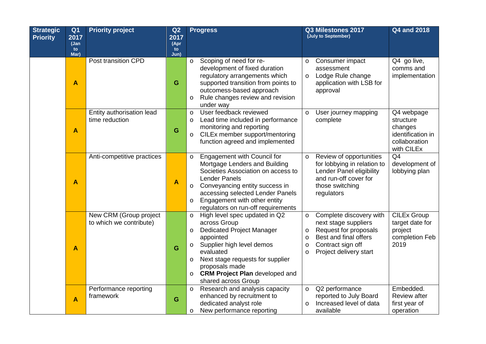| <b>Strategic</b> | Q <sub>1</sub>          | <b>Priority project</b>    | Q2                      | <b>Progress</b>                                                         |                    | Q3 Milestones 2017                                | <b>Q4 and 2018</b>         |
|------------------|-------------------------|----------------------------|-------------------------|-------------------------------------------------------------------------|--------------------|---------------------------------------------------|----------------------------|
| <b>Priority</b>  | 2017                    |                            | 2017                    |                                                                         |                    | (July to September)                               |                            |
|                  | (Jan<br>to              |                            | (Apr<br>to              |                                                                         |                    |                                                   |                            |
|                  | Mar)                    |                            | Jun)                    |                                                                         |                    |                                                   |                            |
|                  |                         | Post transition CPD        |                         | Scoping of need for re-<br>$\circ$                                      | O                  | Consumer impact                                   | Q4 go live,                |
|                  |                         |                            |                         | development of fixed duration                                           |                    | assessment                                        | comms and                  |
|                  |                         |                            |                         | regulatory arrangements which                                           | $\circ$            | Lodge Rule change                                 | implementation             |
|                  | A                       |                            | G                       | supported transition from points to                                     |                    | application with LSB for                          |                            |
|                  |                         |                            |                         | outcomess-based approach<br>Rule changes review and revision<br>$\circ$ |                    | approval                                          |                            |
|                  |                         |                            |                         | under way                                                               |                    |                                                   |                            |
|                  |                         | Entity authorisation lead  |                         | User feedback reviewed<br>$\circ$                                       | $\circ$            | User journey mapping                              | Q4 webpage                 |
|                  |                         | time reduction             |                         | Lead time included in performance<br>$\circ$                            |                    | complete                                          | structure                  |
|                  |                         |                            | G                       | monitoring and reporting                                                |                    |                                                   | changes                    |
|                  | $\blacktriangle$        |                            |                         | CILEx member support/mentoring<br>$\circ$                               |                    |                                                   | identification in          |
|                  |                         |                            |                         | function agreed and implemented                                         |                    |                                                   | collaboration              |
|                  |                         |                            |                         |                                                                         |                    |                                                   | with CILEx                 |
|                  |                         | Anti-competitive practices |                         | Engagement with Council for<br>$\circ$                                  | $\circ$            | Review of opportunities                           | Q <sub>4</sub>             |
|                  |                         |                            |                         | Mortgage Lenders and Building<br>Societies Association on access to     |                    | for lobbying in relation to                       | development of             |
|                  |                         |                            |                         | <b>Lender Panels</b>                                                    |                    | Lender Panel eligibility<br>and run-off cover for | lobbying plan              |
|                  | $\overline{\mathsf{A}}$ |                            | $\overline{\mathsf{A}}$ | Conveyancing entity success in<br>$\circ$                               |                    | those switching                                   |                            |
|                  |                         |                            |                         | accessing selected Lender Panels                                        |                    | regulators                                        |                            |
|                  |                         |                            |                         | Engagement with other entity<br>$\circ$                                 |                    |                                                   |                            |
|                  |                         |                            |                         | regulators on run-off requirements                                      |                    |                                                   |                            |
|                  |                         | New CRM (Group project     |                         | High level spec updated in Q2<br>$\circ$                                | $\circ$            | Complete discovery with                           | <b>CILEx Group</b>         |
|                  |                         | to which we contribute)    |                         | across Group                                                            |                    | next stage suppliers                              | target date for            |
|                  |                         |                            |                         | <b>Dedicated Project Manager</b><br>$\circ$                             | $\circ$            | Request for proposals<br>Best and final offers    | project                    |
|                  |                         |                            |                         | appointed<br>Supplier high level demos<br>$\circ$                       | $\circ$<br>$\circ$ | Contract sign off                                 | completion Feb<br>2019     |
|                  | $\mathbf{A}$            |                            | G                       | evaluated                                                               | $\circ$            | Project delivery start                            |                            |
|                  |                         |                            |                         | Next stage requests for supplier<br>$\circ$                             |                    |                                                   |                            |
|                  |                         |                            |                         | proposals made                                                          |                    |                                                   |                            |
|                  |                         |                            |                         | <b>CRM Project Plan developed and</b><br>$\circ$                        |                    |                                                   |                            |
|                  |                         |                            |                         | shared across Group                                                     |                    |                                                   |                            |
|                  |                         | Performance reporting      |                         | Research and analysis capacity<br>$\circ$                               | $\circ$            | Q2 performance                                    | Embedded.                  |
|                  | $\boldsymbol{A}$        | framework                  | G                       | enhanced by recruitment to                                              |                    | reported to July Board                            | <b>Review after</b>        |
|                  |                         |                            |                         | dedicated analyst role<br>New performance reporting                     | $\circ$            | Increased level of data<br>available              | first year of<br>operation |
|                  |                         |                            |                         | $\circ$                                                                 |                    |                                                   |                            |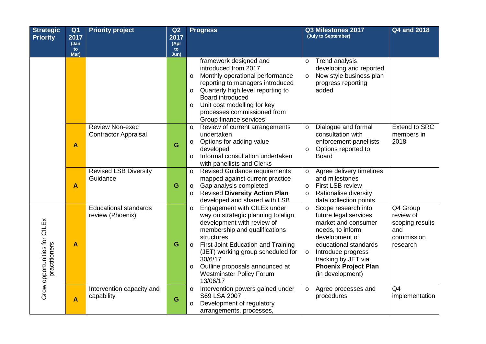| <b>Strategic</b>                              | Q <sub>1</sub>          | <b>Priority project</b>                               | Q <sub>2</sub> | <b>Progress</b>                                                                                                                                                                                                                                                                                                                                 | Q3 Milestones 2017                                                                                                                                                                                                                              | <b>Q4 and 2018</b>                                                                     |
|-----------------------------------------------|-------------------------|-------------------------------------------------------|----------------|-------------------------------------------------------------------------------------------------------------------------------------------------------------------------------------------------------------------------------------------------------------------------------------------------------------------------------------------------|-------------------------------------------------------------------------------------------------------------------------------------------------------------------------------------------------------------------------------------------------|----------------------------------------------------------------------------------------|
| <b>Priority</b>                               | 2017<br>(Jan            |                                                       | 2017<br>(Apr   |                                                                                                                                                                                                                                                                                                                                                 | (July to September)                                                                                                                                                                                                                             |                                                                                        |
|                                               | to                      |                                                       | to             |                                                                                                                                                                                                                                                                                                                                                 |                                                                                                                                                                                                                                                 |                                                                                        |
|                                               | Mar)                    |                                                       | Jun)           | framework designed and<br>introduced from 2017<br>Monthly operational performance<br>$\circ$<br>reporting to managers introduced<br>Quarterly high level reporting to<br>$\circ$<br>Board introduced<br>Unit cost modelling for key<br>$\circ$<br>processes commissioned from<br>Group finance services                                         | <b>Trend analysis</b><br>$\circ$<br>developing and reported<br>New style business plan<br>$\circ$<br>progress reporting<br>added                                                                                                                |                                                                                        |
|                                               | $\boldsymbol{A}$        | <b>Review Non-exec</b><br><b>Contractor Appraisal</b> | G              | Review of current arrangements<br>$\circ$<br>undertaken<br>Options for adding value<br>$\circ$<br>developed<br>Informal consultation undertaken<br>$\circ$<br>with panellists and Clerks                                                                                                                                                        | Dialogue and formal<br>$\circ$<br>consultation with<br>enforcement panellists<br>Options reported to<br>$\circ$<br><b>Board</b>                                                                                                                 | <b>Extend to SRC</b><br>members in<br>2018                                             |
|                                               | $\overline{\mathsf{A}}$ | <b>Revised LSB Diversity</b><br>Guidance              | G              | Revised Guidance requirements<br>$\circ$<br>mapped against current practice<br>Gap analysis completed<br>$\circ$<br><b>Revised Diversity Action Plan</b><br>$\circ$<br>developed and shared with LSB                                                                                                                                            | Agree delivery timelines<br>$\circ$<br>and milestones<br><b>First LSB review</b><br>$\circ$<br>Rationalise diversity<br>$\circ$<br>data collection points                                                                                       |                                                                                        |
| Grow opportunities for CILEx<br>practitioners | $\overline{\mathsf{A}}$ | <b>Educational standards</b><br>review (Phoenix)      | G              | Engagement with CILEx under<br>$\circ$<br>way on strategic planning to align<br>development with review of<br>membership and qualifications<br>structures<br>First Joint Education and Training<br>$\circ$<br>(JET) working group scheduled for<br>30/6/17<br>Outline proposals announced at<br>$\circ$<br>Westminster Policy Forum<br>13/06/17 | o Scope research into<br>future legal services<br>market and consumer<br>needs, to inform<br>development of<br>educational standards<br>Introduce progress<br>$\circ$<br>tracking by JET via<br><b>Phoenix Project Plan</b><br>(in development) | $\overline{Q4}$ Group<br>review of<br>scoping results<br>and<br>commission<br>research |
|                                               | $\boldsymbol{A}$        | Intervention capacity and<br>capability               | G              | Intervention powers gained under<br>$\circ$<br>S69 LSA 2007<br>Development of regulatory<br>$\circ$<br>arrangements, processes,                                                                                                                                                                                                                 | Agree processes and<br>$\circ$<br>procedures                                                                                                                                                                                                    | Q <sub>4</sub><br>implementation                                                       |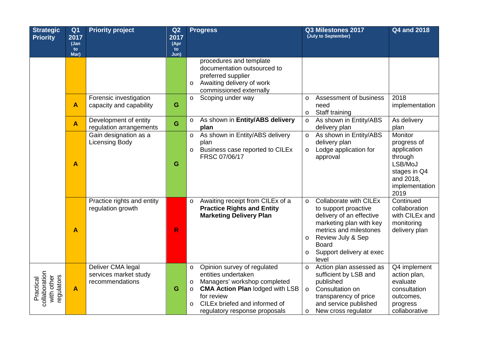| <b>Strategic</b>                                       | Q <sub>1</sub>          | <b>Priority project</b>                                       | Q <sub>2</sub> | <b>Progress</b>                                                                                                                                                                                                                                           | Q3 Milestones 2017<br>(July to September)                                                                                                                                                                                                  | <b>Q4 and 2018</b>                                                                                                 |
|--------------------------------------------------------|-------------------------|---------------------------------------------------------------|----------------|-----------------------------------------------------------------------------------------------------------------------------------------------------------------------------------------------------------------------------------------------------------|--------------------------------------------------------------------------------------------------------------------------------------------------------------------------------------------------------------------------------------------|--------------------------------------------------------------------------------------------------------------------|
| <b>Priority</b>                                        | 2017<br>(Jan            |                                                               | 2017<br>(Apr   |                                                                                                                                                                                                                                                           |                                                                                                                                                                                                                                            |                                                                                                                    |
|                                                        | to<br>Mar)              |                                                               | to<br>Jun)     |                                                                                                                                                                                                                                                           |                                                                                                                                                                                                                                            |                                                                                                                    |
|                                                        |                         |                                                               |                | procedures and template<br>documentation outsourced to<br>preferred supplier<br>Awaiting delivery of work<br>$\circ$<br>commissioned externally                                                                                                           |                                                                                                                                                                                                                                            |                                                                                                                    |
|                                                        | A                       | Forensic investigation<br>capacity and capability             | G              | Scoping under way<br>$\circ$                                                                                                                                                                                                                              | Assessment of business<br>$\circ$<br>need<br>Staff training<br>$\circ$                                                                                                                                                                     | 2018<br>implementation                                                                                             |
|                                                        | $\blacktriangle$        | Development of entity<br>regulation arrangements              | G              | As shown in Entity/ABS delivery<br>$\circ$<br>plan                                                                                                                                                                                                        | As shown in Entity/ABS<br>$\circ$<br>delivery plan                                                                                                                                                                                         | As delivery<br>plan                                                                                                |
|                                                        | $\overline{\mathsf{A}}$ | Gain designation as a<br><b>Licensing Body</b>                | G              | As shown in Entity/ABS delivery<br>$\circ$<br>plan<br>Business case reported to CILEx<br>$\circ$<br>FRSC 07/06/17                                                                                                                                         | As shown in Entity/ABS<br>$\circ$<br>delivery plan<br>Lodge application for<br>$\circ$<br>approval                                                                                                                                         | Monitor<br>progress of<br>application<br>through<br>LSB/MoJ<br>stages in Q4<br>and 2018,<br>implementation<br>2019 |
|                                                        | $\boldsymbol{A}$        | Practice rights and entity<br>regulation growth               | R              | Awaiting receipt from CILEx of a<br>$\circ$<br><b>Practice Rights and Entity</b><br><b>Marketing Delivery Plan</b>                                                                                                                                        | Collaborate with CILEx<br>$\circ$<br>to support proactive<br>delivery of an effective<br>marketing plan with key<br>metrics and milestones<br>Review July & Sep<br>$\circ$<br><b>Board</b><br>Support delivery at exec<br>$\circ$<br>level | Continued<br>collaboration<br>with CILEx and<br>monitoring<br>delivery plan                                        |
| collaboration<br>regulators<br>with other<br>Practical | $\blacktriangle$        | Deliver CMA legal<br>services market study<br>recommendations | G              | Opinion survey of regulated<br>$\circ$<br>entities undertaken<br>Managers' workshop completed<br>$\circ$<br><b>CMA Action Plan lodged with LSB</b><br>$\circ$<br>for review<br>CILEx briefed and informed of<br>$\Omega$<br>regulatory response proposals | Action plan assessed as<br>$\circ$<br>sufficient by LSB and<br>published<br>Consultation on<br>$\circ$<br>transparency of price<br>and service published<br>New cross regulator<br>$\circ$                                                 | Q4 implement<br>action plan,<br>evaluate<br>consultation<br>outcomes,<br>progress<br>collaborative                 |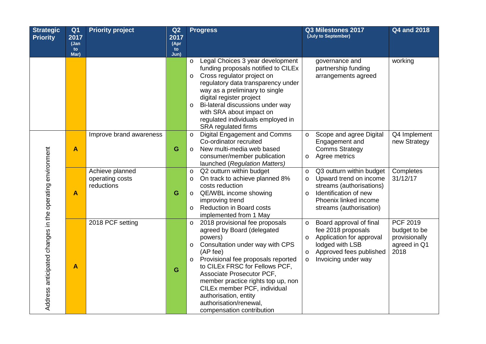| <b>Strategic</b><br><b>Priority</b>                      | Q <sub>1</sub><br>2017 | <b>Priority project</b>                          | Q <sub>2</sub><br>2017 | <b>Progress</b>                                                                                                                                                                                                                                                                                                                                                                                                    | Q3 Milestones 2017<br>(July to September)                                                                                                                                                    | <b>Q4 and 2018</b>                                                |
|----------------------------------------------------------|------------------------|--------------------------------------------------|------------------------|--------------------------------------------------------------------------------------------------------------------------------------------------------------------------------------------------------------------------------------------------------------------------------------------------------------------------------------------------------------------------------------------------------------------|----------------------------------------------------------------------------------------------------------------------------------------------------------------------------------------------|-------------------------------------------------------------------|
|                                                          | (Jan<br>to<br>Mar)     |                                                  | (Apr<br>to<br>Jun)     |                                                                                                                                                                                                                                                                                                                                                                                                                    |                                                                                                                                                                                              |                                                                   |
|                                                          |                        |                                                  |                        | Legal Choices 3 year development<br>$\circ$<br>funding proposals notified to CILEx<br>Cross regulator project on<br>$\circ$<br>regulatory data transparency under<br>way as a preliminary to single<br>digital register project<br>Bi-lateral discussions under way<br>$\circ$<br>with SRA about impact on<br>regulated individuals employed in<br><b>SRA</b> regulated firms                                      | governance and<br>partnership funding<br>arrangements agreed                                                                                                                                 | working                                                           |
|                                                          | A                      | Improve brand awareness                          | G                      | <b>Digital Engagement and Comms</b><br>$\circ$<br>Co-ordinator recruited<br>New multi-media web based<br>$\circ$<br>consumer/member publication<br>launched (Regulation Matters)                                                                                                                                                                                                                                   | Scope and agree Digital<br>$\circ$<br>Engagement and<br><b>Comms Strategy</b><br>Agree metrics<br>$\circ$                                                                                    | Q4 Implement<br>new Strategy                                      |
|                                                          | $\boldsymbol{A}$       | Achieve planned<br>operating costs<br>reductions | G                      | Q2 outturn within budget<br>$\circ$<br>On track to achieve planned 8%<br>$\circ$<br>costs reduction<br>QE/WBL income showing<br>$\circ$<br>improving trend<br><b>Reduction in Board costs</b><br>$\circ$<br>implemented from 1 May                                                                                                                                                                                 | Q3 outturn within budget<br>$\circ$<br>Upward trend on income<br>$\circ$<br>streams (authorisations)<br>Identification of new<br>$\circ$<br>Phoenix linked income<br>streams (authorisation) | Completes<br>31/12/17                                             |
| Address anticipated changes in the operating environment | A                      | 2018 PCF setting                                 | G                      | 2018 provisional fee proposals<br>$\circ$<br>agreed by Board (delegated<br>powers)<br>Consultation under way with CPS<br>$\circ$<br>(AP fee)<br>Provisional fee proposals reported<br>$\circ$<br>to CILEx FRSC for Fellows PCF,<br>Associate Prosecutor PCF,<br>member practice rights top up, non<br>CILEx member PCF, individual<br>authorisation, entity<br>authorisation/renewal,<br>compensation contribution | Board approval of final<br>$\circ$<br>fee 2018 proposals<br>Application for approval<br>O<br>lodged with LSB<br>Approved fees published<br>$\circ$<br>Invoicing under way<br>$\circ$         | PCF 2019<br>budget to be<br>provisionally<br>agreed in Q1<br>2018 |